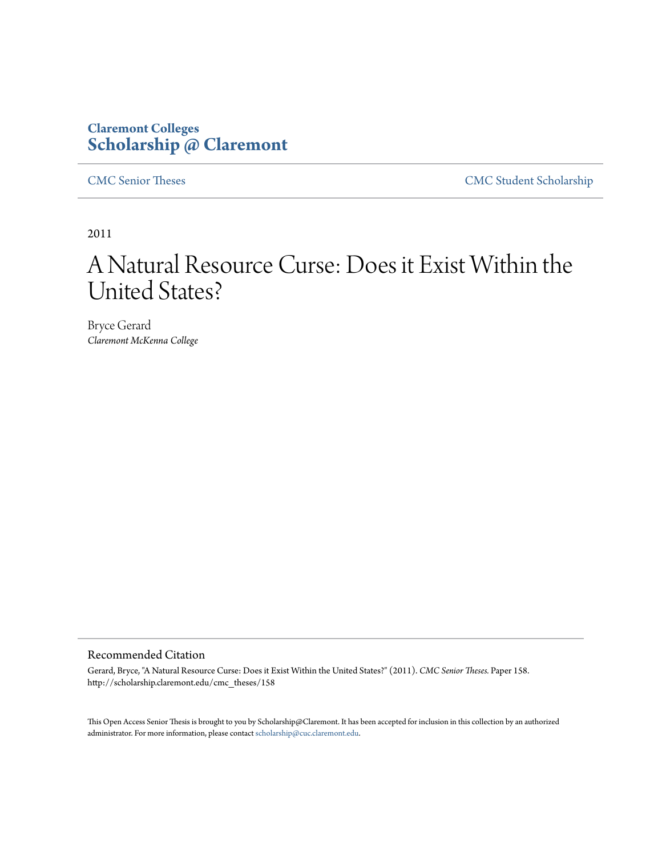## **Claremont Colleges [Scholarship @ Claremont](http://scholarship.claremont.edu)**

[CMC Senior Theses](http://scholarship.claremont.edu/cmc_theses) [CMC Student Scholarship](http://scholarship.claremont.edu/cmc_student)

2011

## A Natural Resource Curse: Does it Exist Within the United States?

Bryce Gerard *Claremont McKenna College*

#### Recommended Citation

Gerard, Bryce, "A Natural Resource Curse: Does it Exist Within the United States?" (2011). *CMC Senior Theses.* Paper 158. http://scholarship.claremont.edu/cmc\_theses/158

This Open Access Senior Thesis is brought to you by Scholarship@Claremont. It has been accepted for inclusion in this collection by an authorized administrator. For more information, please contact [scholarship@cuc.claremont.edu.](mailto:scholarship@cuc.claremont.edu)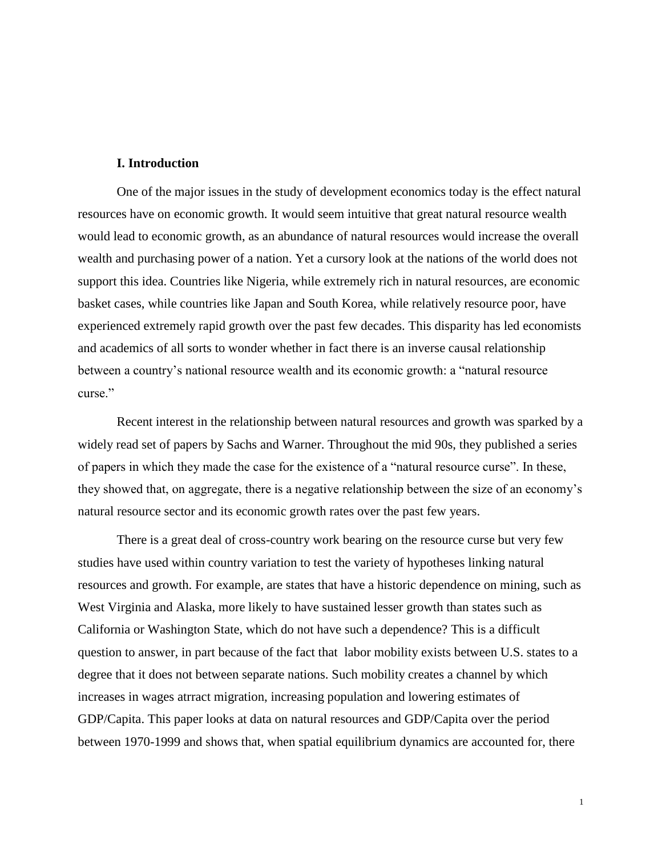#### **I. Introduction**

One of the major issues in the study of development economics today is the effect natural resources have on economic growth. It would seem intuitive that great natural resource wealth would lead to economic growth, as an abundance of natural resources would increase the overall wealth and purchasing power of a nation. Yet a cursory look at the nations of the world does not support this idea. Countries like Nigeria, while extremely rich in natural resources, are economic basket cases, while countries like Japan and South Korea, while relatively resource poor, have experienced extremely rapid growth over the past few decades. This disparity has led economists and academics of all sorts to wonder whether in fact there is an inverse causal relationship between a country's national resource wealth and its economic growth: a "natural resource curse."

Recent interest in the relationship between natural resources and growth was sparked by a widely read set of papers by Sachs and Warner. Throughout the mid 90s, they published a series of papers in which they made the case for the existence of a "natural resource curse". In these, they showed that, on aggregate, there is a negative relationship between the size of an economy's natural resource sector and its economic growth rates over the past few years.

There is a great deal of cross-country work bearing on the resource curse but very few studies have used within country variation to test the variety of hypotheses linking natural resources and growth. For example, are states that have a historic dependence on mining, such as West Virginia and Alaska, more likely to have sustained lesser growth than states such as California or Washington State, which do not have such a dependence? This is a difficult question to answer, in part because of the fact that labor mobility exists between U.S. states to a degree that it does not between separate nations. Such mobility creates a channel by which increases in wages atrract migration, increasing population and lowering estimates of GDP/Capita. This paper looks at data on natural resources and GDP/Capita over the period between 1970-1999 and shows that, when spatial equilibrium dynamics are accounted for, there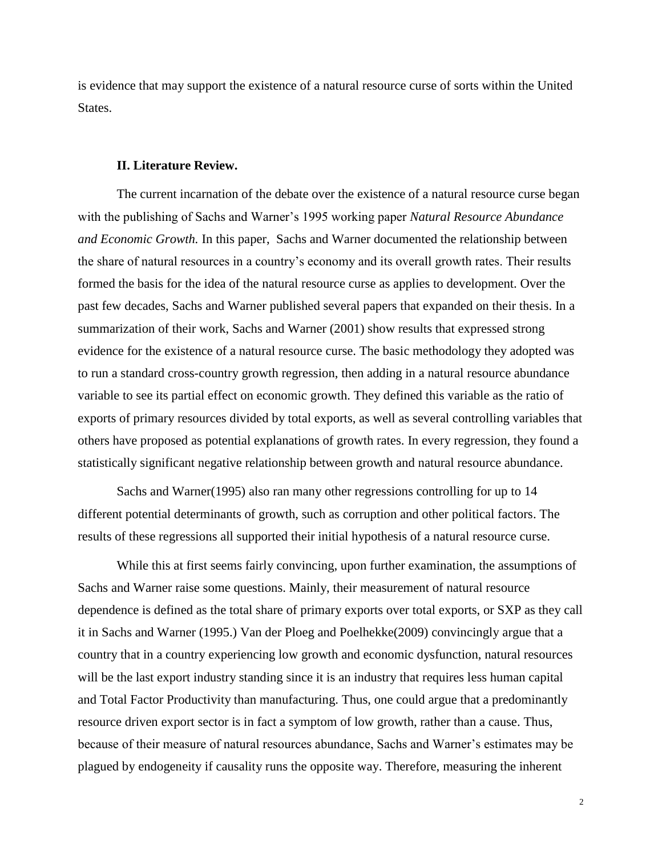is evidence that may support the existence of a natural resource curse of sorts within the United States.

#### **II. Literature Review.**

The current incarnation of the debate over the existence of a natural resource curse began with the publishing of Sachs and Warner's 1995 working paper *Natural Resource Abundance and Economic Growth.* In this paper, Sachs and Warner documented the relationship between the share of natural resources in a country's economy and its overall growth rates. Their results formed the basis for the idea of the natural resource curse as applies to development. Over the past few decades, Sachs and Warner published several papers that expanded on their thesis. In a summarization of their work, Sachs and Warner (2001) show results that expressed strong evidence for the existence of a natural resource curse. The basic methodology they adopted was to run a standard cross-country growth regression, then adding in a natural resource abundance variable to see its partial effect on economic growth. They defined this variable as the ratio of exports of primary resources divided by total exports, as well as several controlling variables that others have proposed as potential explanations of growth rates. In every regression, they found a statistically significant negative relationship between growth and natural resource abundance.

Sachs and Warner(1995) also ran many other regressions controlling for up to 14 different potential determinants of growth, such as corruption and other political factors. The results of these regressions all supported their initial hypothesis of a natural resource curse.

While this at first seems fairly convincing, upon further examination, the assumptions of Sachs and Warner raise some questions. Mainly, their measurement of natural resource dependence is defined as the total share of primary exports over total exports, or SXP as they call it in Sachs and Warner (1995.) Van der Ploeg and Poelhekke(2009) convincingly argue that a country that in a country experiencing low growth and economic dysfunction, natural resources will be the last export industry standing since it is an industry that requires less human capital and Total Factor Productivity than manufacturing. Thus, one could argue that a predominantly resource driven export sector is in fact a symptom of low growth, rather than a cause. Thus, because of their measure of natural resources abundance, Sachs and Warner's estimates may be plagued by endogeneity if causality runs the opposite way. Therefore, measuring the inherent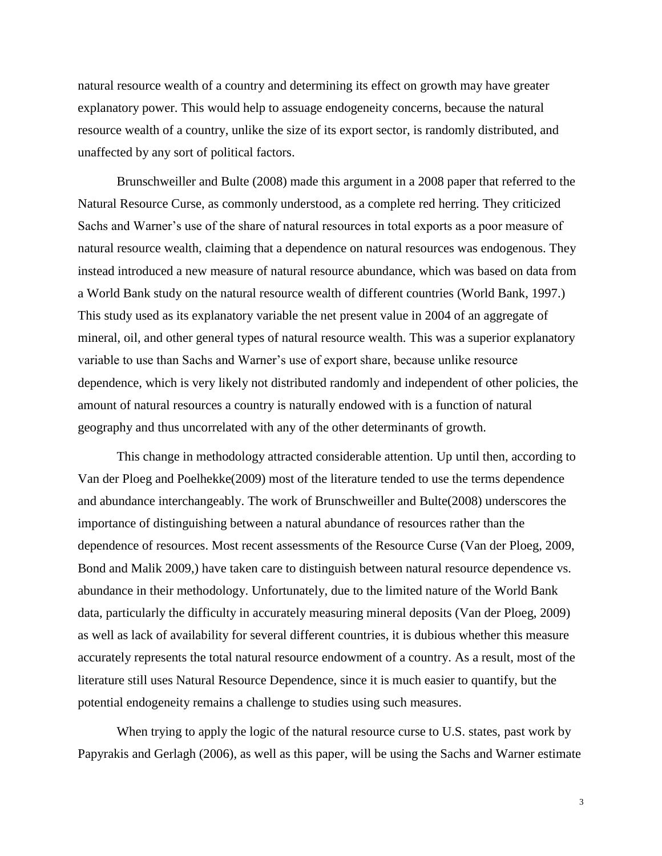natural resource wealth of a country and determining its effect on growth may have greater explanatory power. This would help to assuage endogeneity concerns, because the natural resource wealth of a country, unlike the size of its export sector, is randomly distributed, and unaffected by any sort of political factors.

Brunschweiller and Bulte (2008) made this argument in a 2008 paper that referred to the Natural Resource Curse, as commonly understood, as a complete red herring. They criticized Sachs and Warner's use of the share of natural resources in total exports as a poor measure of natural resource wealth, claiming that a dependence on natural resources was endogenous. They instead introduced a new measure of natural resource abundance, which was based on data from a World Bank study on the natural resource wealth of different countries (World Bank, 1997.) This study used as its explanatory variable the net present value in 2004 of an aggregate of mineral, oil, and other general types of natural resource wealth. This was a superior explanatory variable to use than Sachs and Warner's use of export share, because unlike resource dependence, which is very likely not distributed randomly and independent of other policies, the amount of natural resources a country is naturally endowed with is a function of natural geography and thus uncorrelated with any of the other determinants of growth.

This change in methodology attracted considerable attention. Up until then, according to Van der Ploeg and Poelhekke(2009) most of the literature tended to use the terms dependence and abundance interchangeably. The work of Brunschweiller and Bulte(2008) underscores the importance of distinguishing between a natural abundance of resources rather than the dependence of resources. Most recent assessments of the Resource Curse (Van der Ploeg, 2009, Bond and Malik 2009,) have taken care to distinguish between natural resource dependence vs. abundance in their methodology. Unfortunately, due to the limited nature of the World Bank data, particularly the difficulty in accurately measuring mineral deposits (Van der Ploeg, 2009) as well as lack of availability for several different countries, it is dubious whether this measure accurately represents the total natural resource endowment of a country. As a result, most of the literature still uses Natural Resource Dependence, since it is much easier to quantify, but the potential endogeneity remains a challenge to studies using such measures.

When trying to apply the logic of the natural resource curse to U.S. states, past work by Papyrakis and Gerlagh (2006), as well as this paper, will be using the Sachs and Warner estimate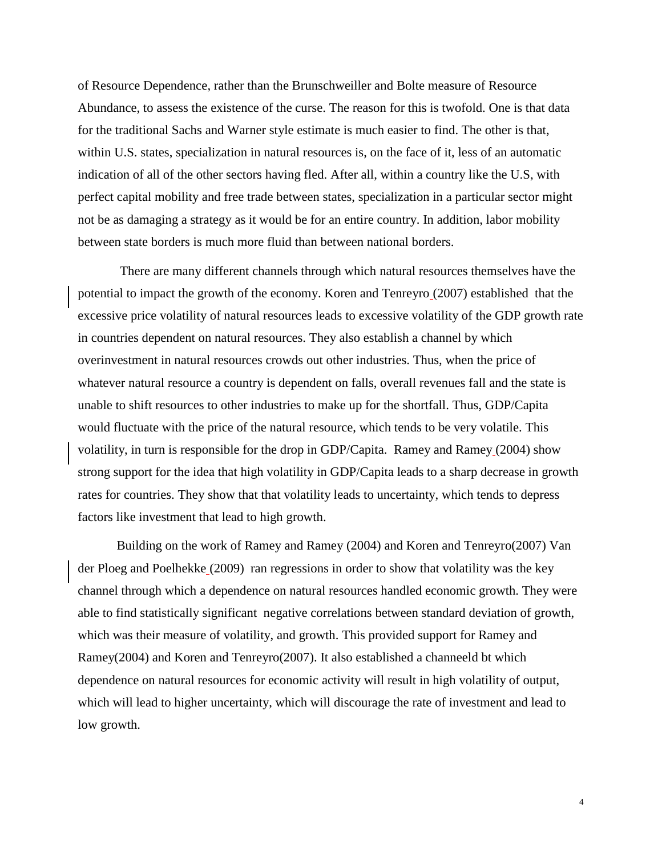of Resource Dependence, rather than the Brunschweiller and Bolte measure of Resource Abundance, to assess the existence of the curse. The reason for this is twofold. One is that data for the traditional Sachs and Warner style estimate is much easier to find. The other is that, within U.S. states, specialization in natural resources is, on the face of it, less of an automatic indication of all of the other sectors having fled. After all, within a country like the U.S, with perfect capital mobility and free trade between states, specialization in a particular sector might not be as damaging a strategy as it would be for an entire country. In addition, labor mobility between state borders is much more fluid than between national borders.

There are many different channels through which natural resources themselves have the potential to impact the growth of the economy. Koren and Tenreyro (2007) established that the excessive price volatility of natural resources leads to excessive volatility of the GDP growth rate in countries dependent on natural resources. They also establish a channel by which overinvestment in natural resources crowds out other industries. Thus, when the price of whatever natural resource a country is dependent on falls, overall revenues fall and the state is unable to shift resources to other industries to make up for the shortfall. Thus, GDP/Capita would fluctuate with the price of the natural resource, which tends to be very volatile. This volatility, in turn is responsible for the drop in GDP/Capita. Ramey and Ramey (2004) show strong support for the idea that high volatility in GDP/Capita leads to a sharp decrease in growth rates for countries. They show that that volatility leads to uncertainty, which tends to depress factors like investment that lead to high growth.

Building on the work of Ramey and Ramey (2004) and Koren and Tenreyro(2007) Van der Ploeg and Poelhekke (2009) ran regressions in order to show that volatility was the key channel through which a dependence on natural resources handled economic growth. They were able to find statistically significant negative correlations between standard deviation of growth, which was their measure of volatility, and growth. This provided support for Ramey and Ramey(2004) and Koren and Tenreyro(2007). It also established a channeeld bt which dependence on natural resources for economic activity will result in high volatility of output, which will lead to higher uncertainty, which will discourage the rate of investment and lead to low growth.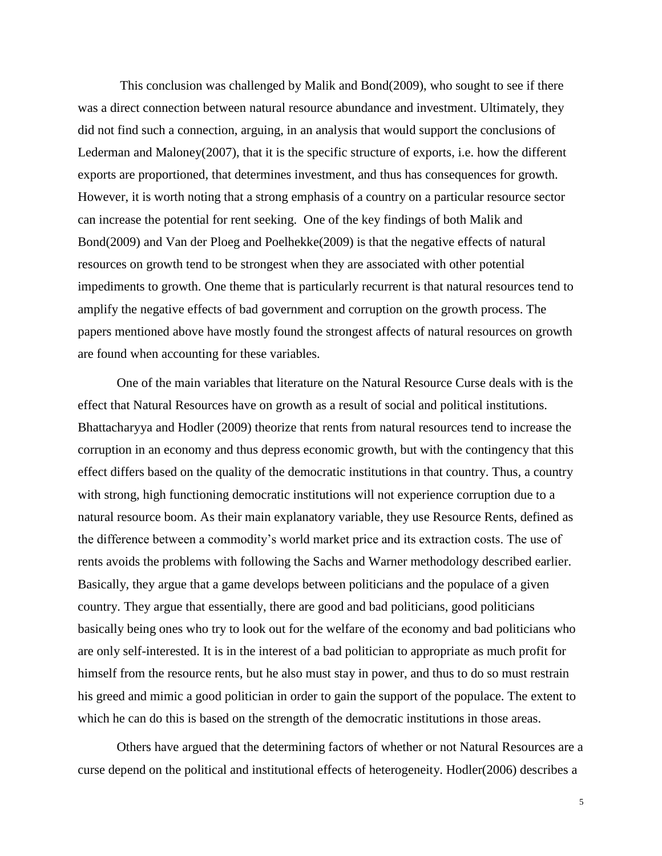This conclusion was challenged by Malik and Bond(2009), who sought to see if there was a direct connection between natural resource abundance and investment. Ultimately, they did not find such a connection, arguing, in an analysis that would support the conclusions of Lederman and Maloney(2007), that it is the specific structure of exports, i.e. how the different exports are proportioned, that determines investment, and thus has consequences for growth. However, it is worth noting that a strong emphasis of a country on a particular resource sector can increase the potential for rent seeking. One of the key findings of both Malik and Bond(2009) and Van der Ploeg and Poelhekke(2009) is that the negative effects of natural resources on growth tend to be strongest when they are associated with other potential impediments to growth. One theme that is particularly recurrent is that natural resources tend to amplify the negative effects of bad government and corruption on the growth process. The papers mentioned above have mostly found the strongest affects of natural resources on growth are found when accounting for these variables.

One of the main variables that literature on the Natural Resource Curse deals with is the effect that Natural Resources have on growth as a result of social and political institutions. Bhattacharyya and Hodler (2009) theorize that rents from natural resources tend to increase the corruption in an economy and thus depress economic growth, but with the contingency that this effect differs based on the quality of the democratic institutions in that country. Thus, a country with strong, high functioning democratic institutions will not experience corruption due to a natural resource boom. As their main explanatory variable, they use Resource Rents, defined as the difference between a commodity's world market price and its extraction costs. The use of rents avoids the problems with following the Sachs and Warner methodology described earlier. Basically, they argue that a game develops between politicians and the populace of a given country. They argue that essentially, there are good and bad politicians, good politicians basically being ones who try to look out for the welfare of the economy and bad politicians who are only self-interested. It is in the interest of a bad politician to appropriate as much profit for himself from the resource rents, but he also must stay in power, and thus to do so must restrain his greed and mimic a good politician in order to gain the support of the populace. The extent to which he can do this is based on the strength of the democratic institutions in those areas.

Others have argued that the determining factors of whether or not Natural Resources are a curse depend on the political and institutional effects of heterogeneity. Hodler(2006) describes a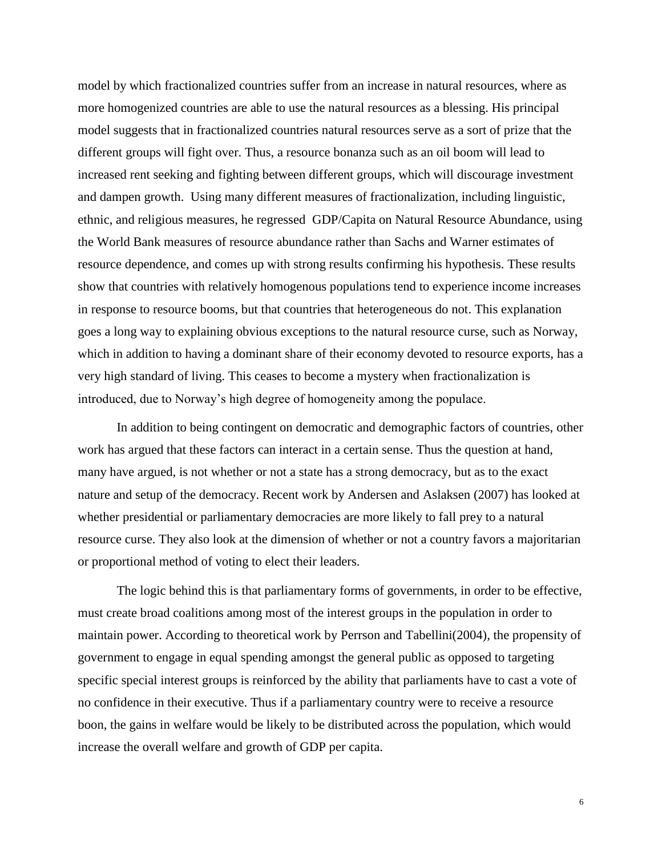model by which fractionalized countries suffer from an increase in natural resources, where as more homogenized countries are able to use the natural resources as a blessing. His principal model suggests that in fractionalized countries natural resources serve as a sort of prize that the different groups will fight over. Thus, a resource bonanza such as an oil boom will lead to increased rent seeking and fighting between different groups, which will discourage investment and dampen growth. Using many different measures of fractionalization, including linguistic, ethnic, and religious measures, he regressed GDP/Capita on Natural Resource Abundance, using the World Bank measures of resource abundance rather than Sachs and Warner estimates of resource dependence, and comes up with strong results confirming his hypothesis. These results show that countries with relatively homogenous populations tend to experience income increases in response to resource booms, but that countries that heterogeneous do not. This explanation goes a long way to explaining obvious exceptions to the natural resource curse, such as Norway, which in addition to having a dominant share of their economy devoted to resource exports, has a very high standard of living. This ceases to become a mystery when fractionalization is introduced, due to Norway's high degree of homogeneity among the populace.

In addition to being contingent on democratic and demographic factors of countries, other work has argued that these factors can interact in a certain sense. Thus the question at hand, many have argued, is not whether or not a state has a strong democracy, but as to the exact nature and setup of the democracy. Recent work by Andersen and Aslaksen (2007) has looked at whether presidential or parliamentary democracies are more likely to fall prey to a natural resource curse. They also look at the dimension of whether or not a country favors a majoritarian or proportional method of voting to elect their leaders.

The logic behind this is that parliamentary forms of governments, in order to be effective, must create broad coalitions among most of the interest groups in the population in order to maintain power. According to theoretical work by Perrson and Tabellini(2004), the propensity of government to engage in equal spending amongst the general public as opposed to targeting specific special interest groups is reinforced by the ability that parliaments have to cast a vote of no confidence in their executive. Thus if a parliamentary country were to receive a resource boon, the gains in welfare would be likely to be distributed across the population, which would increase the overall welfare and growth of GDP per capita.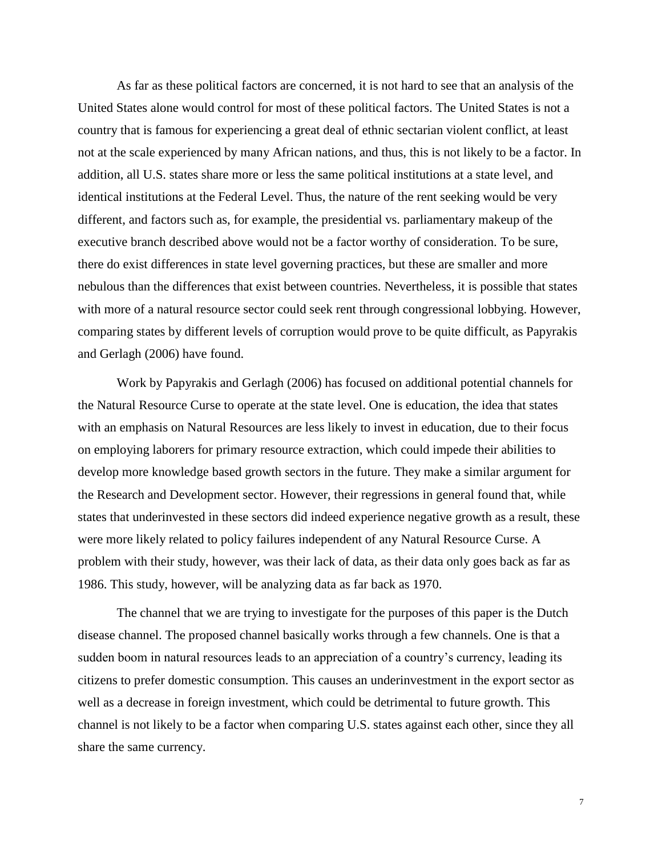As far as these political factors are concerned, it is not hard to see that an analysis of the United States alone would control for most of these political factors. The United States is not a country that is famous for experiencing a great deal of ethnic sectarian violent conflict, at least not at the scale experienced by many African nations, and thus, this is not likely to be a factor. In addition, all U.S. states share more or less the same political institutions at a state level, and identical institutions at the Federal Level. Thus, the nature of the rent seeking would be very different, and factors such as, for example, the presidential vs. parliamentary makeup of the executive branch described above would not be a factor worthy of consideration. To be sure, there do exist differences in state level governing practices, but these are smaller and more nebulous than the differences that exist between countries. Nevertheless, it is possible that states with more of a natural resource sector could seek rent through congressional lobbying. However, comparing states by different levels of corruption would prove to be quite difficult, as Papyrakis and Gerlagh (2006) have found.

Work by Papyrakis and Gerlagh (2006) has focused on additional potential channels for the Natural Resource Curse to operate at the state level. One is education, the idea that states with an emphasis on Natural Resources are less likely to invest in education, due to their focus on employing laborers for primary resource extraction, which could impede their abilities to develop more knowledge based growth sectors in the future. They make a similar argument for the Research and Development sector. However, their regressions in general found that, while states that underinvested in these sectors did indeed experience negative growth as a result, these were more likely related to policy failures independent of any Natural Resource Curse. A problem with their study, however, was their lack of data, as their data only goes back as far as 1986. This study, however, will be analyzing data as far back as 1970.

The channel that we are trying to investigate for the purposes of this paper is the Dutch disease channel. The proposed channel basically works through a few channels. One is that a sudden boom in natural resources leads to an appreciation of a country's currency, leading its citizens to prefer domestic consumption. This causes an underinvestment in the export sector as well as a decrease in foreign investment, which could be detrimental to future growth. This channel is not likely to be a factor when comparing U.S. states against each other, since they all share the same currency.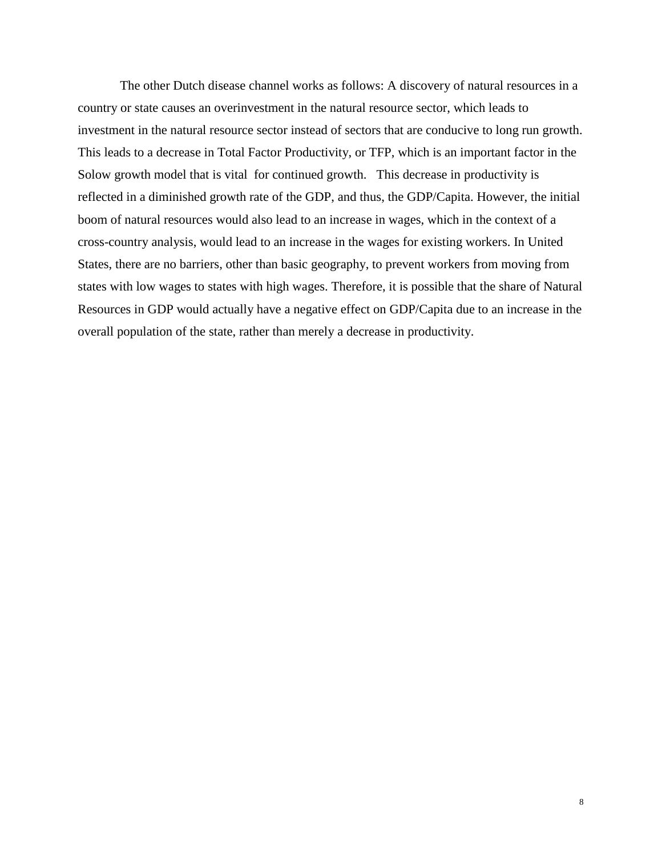The other Dutch disease channel works as follows: A discovery of natural resources in a country or state causes an overinvestment in the natural resource sector, which leads to investment in the natural resource sector instead of sectors that are conducive to long run growth. This leads to a decrease in Total Factor Productivity, or TFP, which is an important factor in the Solow growth model that is vital for continued growth. This decrease in productivity is reflected in a diminished growth rate of the GDP, and thus, the GDP/Capita. However, the initial boom of natural resources would also lead to an increase in wages, which in the context of a cross-country analysis, would lead to an increase in the wages for existing workers. In United States, there are no barriers, other than basic geography, to prevent workers from moving from states with low wages to states with high wages. Therefore, it is possible that the share of Natural Resources in GDP would actually have a negative effect on GDP/Capita due to an increase in the overall population of the state, rather than merely a decrease in productivity.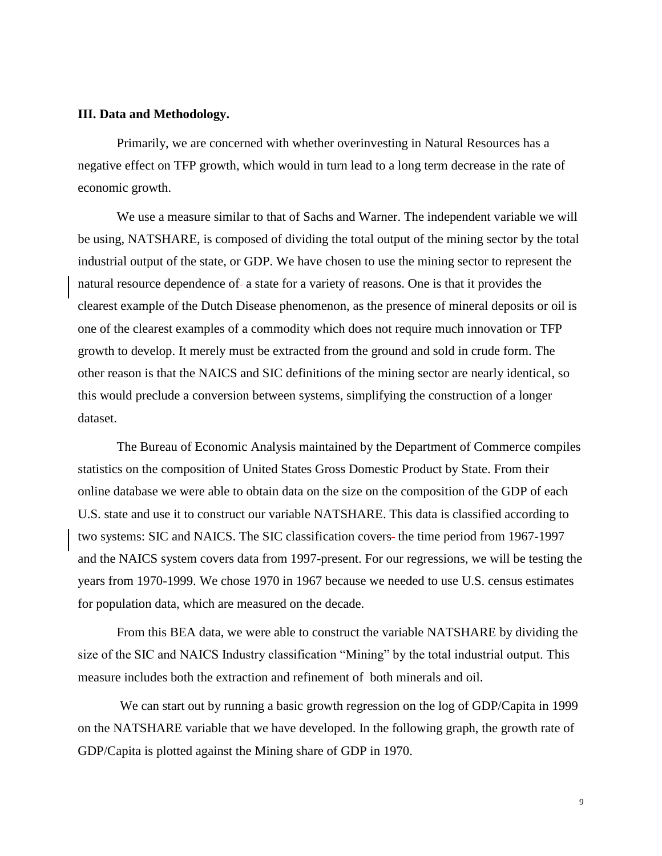#### **III. Data and Methodology.**

Primarily, we are concerned with whether overinvesting in Natural Resources has a negative effect on TFP growth, which would in turn lead to a long term decrease in the rate of economic growth.

We use a measure similar to that of Sachs and Warner. The independent variable we will be using, NATSHARE, is composed of dividing the total output of the mining sector by the total industrial output of the state, or GDP. We have chosen to use the mining sector to represent the natural resource dependence of a state for a variety of reasons. One is that it provides the clearest example of the Dutch Disease phenomenon, as the presence of mineral deposits or oil is one of the clearest examples of a commodity which does not require much innovation or TFP growth to develop. It merely must be extracted from the ground and sold in crude form. The other reason is that the NAICS and SIC definitions of the mining sector are nearly identical, so this would preclude a conversion between systems, simplifying the construction of a longer dataset.

The Bureau of Economic Analysis maintained by the Department of Commerce compiles statistics on the composition of United States Gross Domestic Product by State. From their online database we were able to obtain data on the size on the composition of the GDP of each U.S. state and use it to construct our variable NATSHARE. This data is classified according to two systems: SIC and NAICS. The SIC classification covers- the time period from 1967-1997 and the NAICS system covers data from 1997-present. For our regressions, we will be testing the years from 1970-1999. We chose 1970 in 1967 because we needed to use U.S. census estimates for population data, which are measured on the decade.

From this BEA data, we were able to construct the variable NATSHARE by dividing the size of the SIC and NAICS Industry classification "Mining" by the total industrial output. This measure includes both the extraction and refinement of both minerals and oil.

We can start out by running a basic growth regression on the log of GDP/Capita in 1999 on the NATSHARE variable that we have developed. In the following graph, the growth rate of GDP/Capita is plotted against the Mining share of GDP in 1970.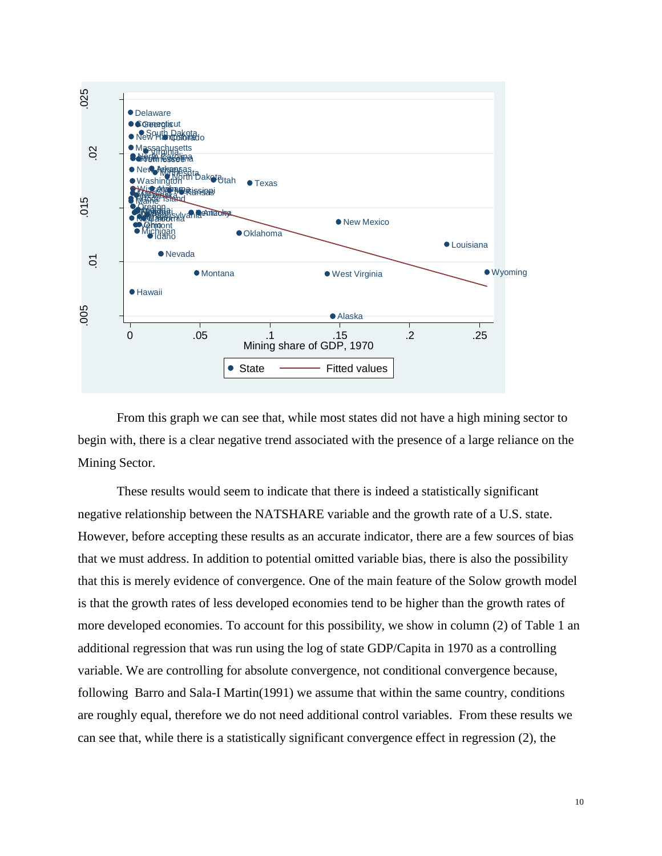

From this graph we can see that, while most states did not have a high mining sector to begin with, there is a clear negative trend associated with the presence of a large reliance on the Mining Sector.

These results would seem to indicate that there is indeed a statistically significant negative relationship between the NATSHARE variable and the growth rate of a U.S. state. However, before accepting these results as an accurate indicator, there are a few sources of bias that we must address. In addition to potential omitted variable bias, there is also the possibility that this is merely evidence of convergence. One of the main feature of the Solow growth model is that the growth rates of less developed economies tend to be higher than the growth rates of more developed economies. To account for this possibility, we show in column (2) of Table 1 an additional regression that was run using the log of state GDP/Capita in 1970 as a controlling variable. We are controlling for absolute convergence, not conditional convergence because, following Barro and Sala-I Martin(1991) we assume that within the same country, conditions are roughly equal, therefore we do not need additional control variables. From these results we can see that, while there is a statistically significant convergence effect in regression (2), the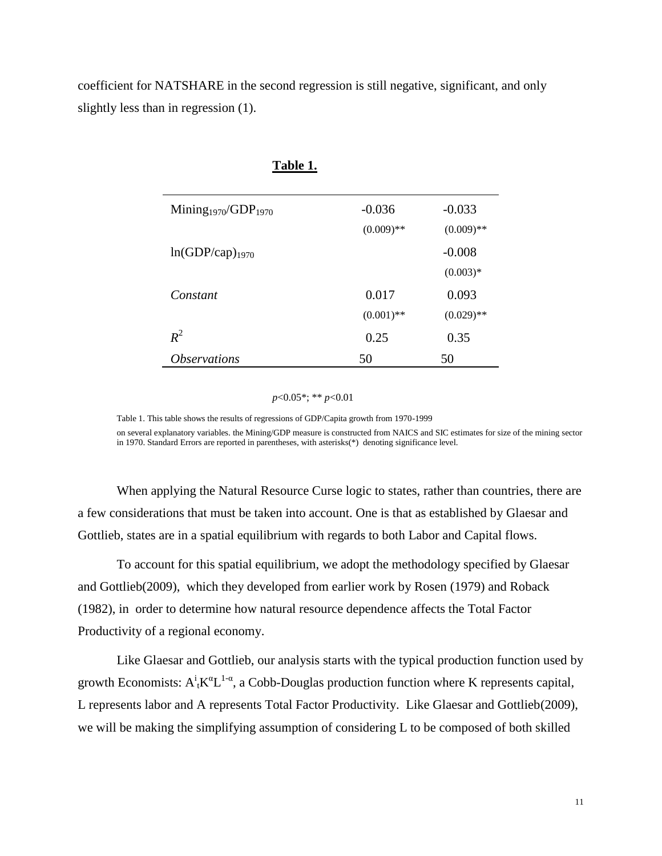coefficient for NATSHARE in the second regression is still negative, significant, and only slightly less than in regression (1).

| TANIC TI                                    |              |              |
|---------------------------------------------|--------------|--------------|
| Mining <sub>1970</sub> /GDP <sub>1970</sub> | $-0.036$     | $-0.033$     |
|                                             | $(0.009)$ ** | $(0.009)$ ** |
| $ln(GDP/cap)_{1970}$                        |              | $-0.008$     |
|                                             |              | $(0.003)*$   |
| Constant                                    | 0.017        | 0.093        |
|                                             | $(0.001)$ ** | $(0.029)$ ** |
| $R^2$                                       | 0.25         | 0.35         |
| <i><b>Observations</b></i>                  | 50           | 50           |

## **Table 1.**

*p*<0.05\*; \*\* *p*<0.01

Table 1. This table shows the results of regressions of GDP/Capita growth from 1970-1999 on several explanatory variables. the Mining/GDP measure is constructed from NAICS and SIC estimates for size of the mining sector in 1970. Standard Errors are reported in parentheses, with asterisks(\*) denoting significance level.

When applying the Natural Resource Curse logic to states, rather than countries, there are a few considerations that must be taken into account. One is that as established by Glaesar and Gottlieb, states are in a spatial equilibrium with regards to both Labor and Capital flows.

To account for this spatial equilibrium, we adopt the methodology specified by Glaesar and Gottlieb(2009), which they developed from earlier work by Rosen (1979) and Roback (1982), in order to determine how natural resource dependence affects the Total Factor Productivity of a regional economy.

Like Glaesar and Gottlieb, our analysis starts with the typical production function used by growth Economists:  $A^i{}_tK^{\alpha}L^{1-\alpha}$ , a Cobb-Douglas production function where K represents capital, L represents labor and A represents Total Factor Productivity. Like Glaesar and Gottlieb(2009), we will be making the simplifying assumption of considering L to be composed of both skilled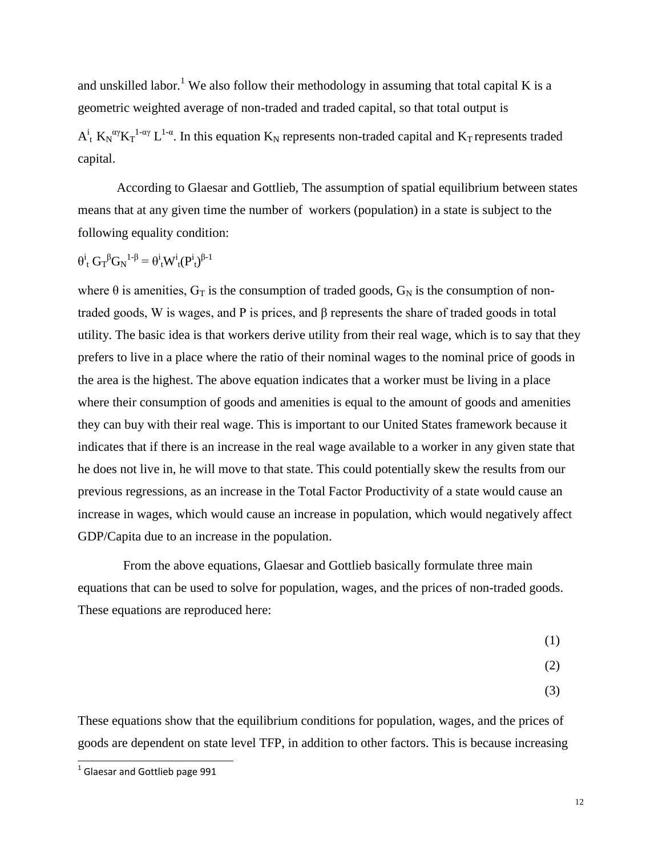and unskilled labor.<sup>1</sup> We also follow their methodology in assuming that total capital K is a geometric weighted average of non-traded and traded capital, so that total output is

 $A_t^i$  K<sub>N</sub><sup> $\alpha$ </sup>/K<sub>T</sub><sup>1- $\alpha$ </sup>, L<sup>1- $\alpha$ </sup>. In this equation K<sub>N</sub> represents non-traded capital and K<sub>T</sub> represents traded capital.

According to Glaesar and Gottlieb, The assumption of spatial equilibrium between states means that at any given time the number of workers (population) in a state is subject to the following equality condition:

$$
\theta^i_{\ t}\ G_T^{\ \beta}G_N^{\ \ 1\text{-}\beta}=\theta^i_{\ t}W^i_{\ t}(P^i_{\ t})^{\beta\text{-}1}
$$

where  $\theta$  is amenities,  $G_T$  is the consumption of traded goods,  $G_N$  is the consumption of nontraded goods, W is wages, and P is prices, and β represents the share of traded goods in total utility. The basic idea is that workers derive utility from their real wage, which is to say that they prefers to live in a place where the ratio of their nominal wages to the nominal price of goods in the area is the highest. The above equation indicates that a worker must be living in a place where their consumption of goods and amenities is equal to the amount of goods and amenities they can buy with their real wage. This is important to our United States framework because it indicates that if there is an increase in the real wage available to a worker in any given state that he does not live in, he will move to that state. This could potentially skew the results from our previous regressions, as an increase in the Total Factor Productivity of a state would cause an increase in wages, which would cause an increase in population, which would negatively affect GDP/Capita due to an increase in the population.

 From the above equations, Glaesar and Gottlieb basically formulate three main equations that can be used to solve for population, wages, and the prices of non-traded goods. These equations are reproduced here:

- (1)
- (2)
	- (3)

These equations show that the equilibrium conditions for population, wages, and the prices of goods are dependent on state level TFP, in addition to other factors. This is because increasing

<sup>&</sup>lt;sup>1</sup> Glaesar and Gottlieb page 991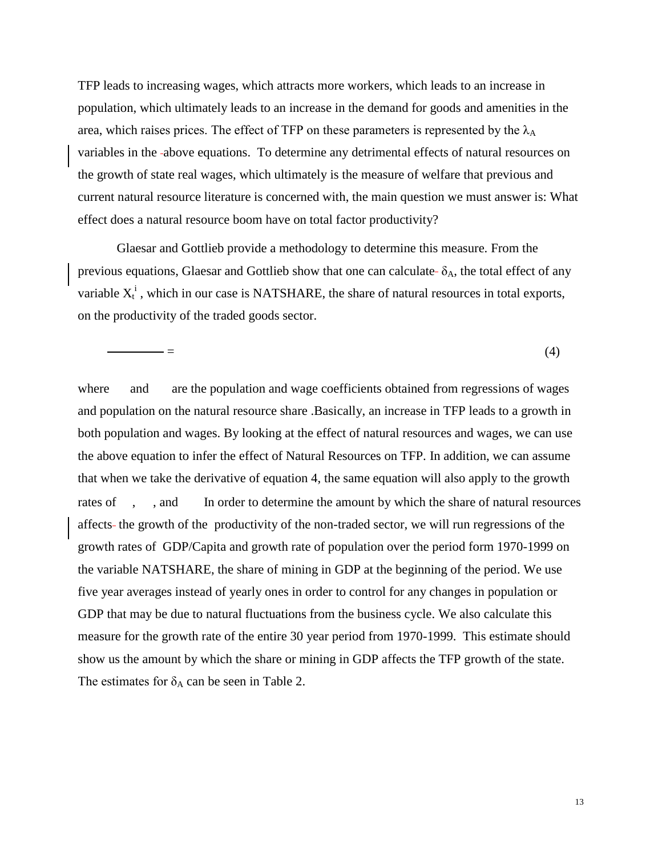TFP leads to increasing wages, which attracts more workers, which leads to an increase in population, which ultimately leads to an increase in the demand for goods and amenities in the area, which raises prices. The effect of TFP on these parameters is represented by the  $\lambda_A$ variables in the above equations. To determine any detrimental effects of natural resources on the growth of state real wages, which ultimately is the measure of welfare that previous and current natural resource literature is concerned with, the main question we must answer is: What effect does a natural resource boom have on total factor productivity?

Glaesar and Gottlieb provide a methodology to determine this measure. From the previous equations, Glaesar and Gottlieb show that one can calculate- $\delta_A$ , the total effect of any variable  $X_t^i$ , which in our case is NATSHARE, the share of natural resources in total exports, on the productivity of the traded goods sector.

 $=$  (4)

where and are the population and wage coefficients obtained from regressions of wages and population on the natural resource share .Basically, an increase in TFP leads to a growth in both population and wages. By looking at the effect of natural resources and wages, we can use the above equation to infer the effect of Natural Resources on TFP. In addition, we can assume that when we take the derivative of equation 4, the same equation will also apply to the growth rates of , , and In order to determine the amount by which the share of natural resources affects the growth of the productivity of the non-traded sector, we will run regressions of the growth rates of GDP/Capita and growth rate of population over the period form 1970-1999 on the variable NATSHARE, the share of mining in GDP at the beginning of the period. We use five year averages instead of yearly ones in order to control for any changes in population or GDP that may be due to natural fluctuations from the business cycle. We also calculate this measure for the growth rate of the entire 30 year period from 1970-1999. This estimate should show us the amount by which the share or mining in GDP affects the TFP growth of the state. The estimates for  $\delta_A$  can be seen in Table 2.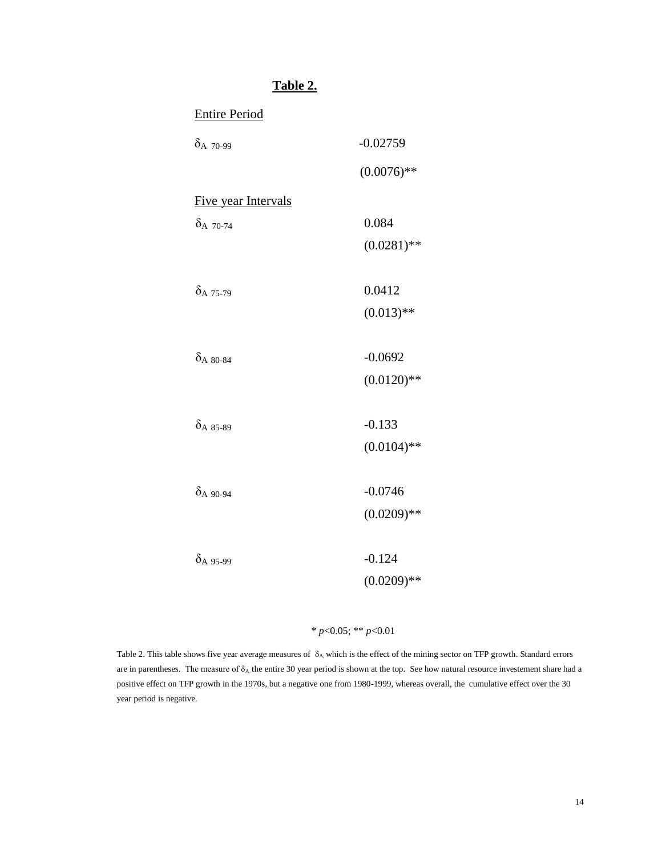# Entire Period  $\delta_{A}$  70-99 -0.02759  $(0.0076)$ \*\* Five year Intervals  $\delta$ <sub>A</sub>  $_{70-74}$  0.084  $(0.0281)$ \*\*  $\delta$ <sub>A</sub> 75-79 0.0412  $(0.013)$ \*\*  $\delta_{A}$  80-84 -0.0692  $(0.0120)$ \*\*  $\delta$ <sub>A</sub> 85-89 -0.133  $(0.0104)$ \*\*  $\delta$ <sub>A</sub>  $_{90-94}$  -0.0746  $(0.0209)$ \*\*  $\delta$ <sub>A</sub> 95-99 -0.124  $(0.0209)$ \*\*

**Table 2.**

#### \* *p*<0.05; \*\* *p*<0.01

Table 2. This table shows five year average measures of  $\delta_A$ , which is the effect of the mining sector on TFP growth. Standard errors are in parentheses. The measure of  $\delta_A$  the entire 30 year period is shown at the top. See how natural resource investement share had a positive effect on TFP growth in the 1970s, but a negative one from 1980-1999, whereas overall, the cumulative effect over the 30 year period is negative.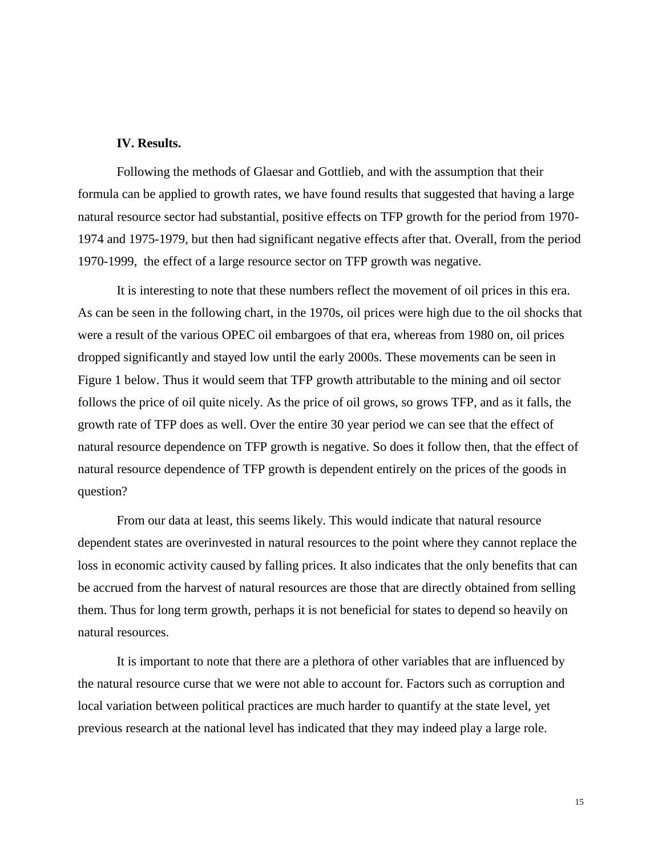#### **IV. Results.**

Following the methods of Glaesar and Gottlieb, and with the assumption that their formula can be applied to growth rates, we have found results that suggested that having a large natural resource sector had substantial, positive effects on TFP growth for the period from 1970- 1974 and 1975-1979, but then had significant negative effects after that. Overall, from the period 1970-1999, the effect of a large resource sector on TFP growth was negative.

It is interesting to note that these numbers reflect the movement of oil prices in this era. As can be seen in the following chart, in the 1970s, oil prices were high due to the oil shocks that were a result of the various OPEC oil embargoes of that era, whereas from 1980 on, oil prices dropped significantly and stayed low until the early 2000s. These movements can be seen in Figure 1 below. Thus it would seem that TFP growth attributable to the mining and oil sector follows the price of oil quite nicely. As the price of oil grows, so grows TFP, and as it falls, the growth rate of TFP does as well. Over the entire 30 year period we can see that the effect of natural resource dependence on TFP growth is negative. So does it follow then, that the effect of natural resource dependence of TFP growth is dependent entirely on the prices of the goods in question?

From our data at least, this seems likely. This would indicate that natural resource dependent states are overinvested in natural resources to the point where they cannot replace the loss in economic activity caused by falling prices. It also indicates that the only benefits that can be accrued from the harvest of natural resources are those that are directly obtained from selling them. Thus for long term growth, perhaps it is not beneficial for states to depend so heavily on natural resources.

It is important to note that there are a plethora of other variables that are influenced by the natural resource curse that we were not able to account for. Factors such as corruption and local variation between political practices are much harder to quantify at the state level, yet previous research at the national level has indicated that they may indeed play a large role.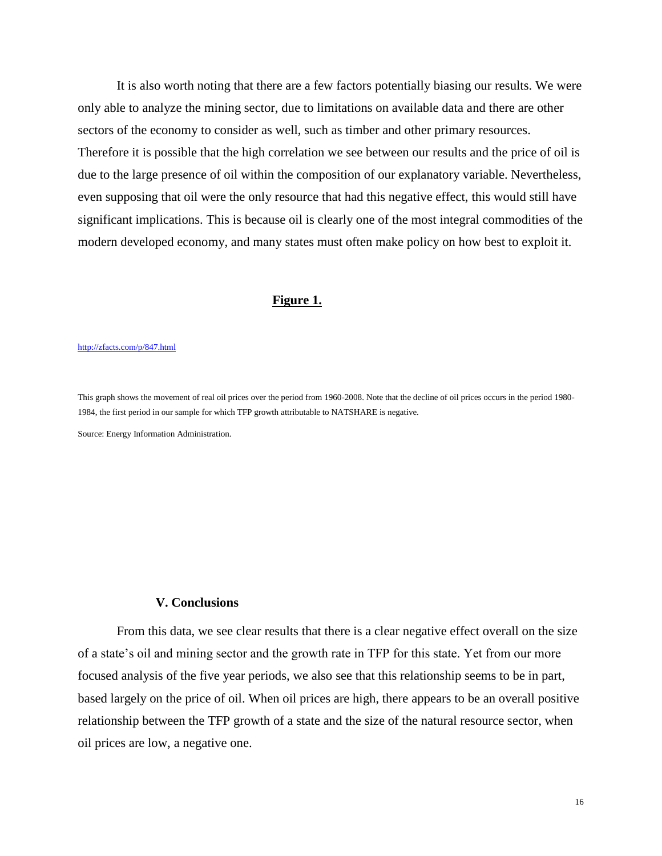It is also worth noting that there are a few factors potentially biasing our results. We were only able to analyze the mining sector, due to limitations on available data and there are other sectors of the economy to consider as well, such as timber and other primary resources. Therefore it is possible that the high correlation we see between our results and the price of oil is due to the large presence of oil within the composition of our explanatory variable. Nevertheless, even supposing that oil were the only resource that had this negative effect, this would still have significant implications. This is because oil is clearly one of the most integral commodities of the modern developed economy, and many states must often make policy on how best to exploit it.

#### **Figure 1.**

#### <http://zfacts.com/p/847.html>

This graph shows the movement of real oil prices over the period from 1960-2008. Note that the decline of oil prices occurs in the period 1980- 1984, the first period in our sample for which TFP growth attributable to NATSHARE is negative.

Source: Energy Information Administration.

#### **V. Conclusions**

From this data, we see clear results that there is a clear negative effect overall on the size of a state's oil and mining sector and the growth rate in TFP for this state. Yet from our more focused analysis of the five year periods, we also see that this relationship seems to be in part, based largely on the price of oil. When oil prices are high, there appears to be an overall positive relationship between the TFP growth of a state and the size of the natural resource sector, when oil prices are low, a negative one.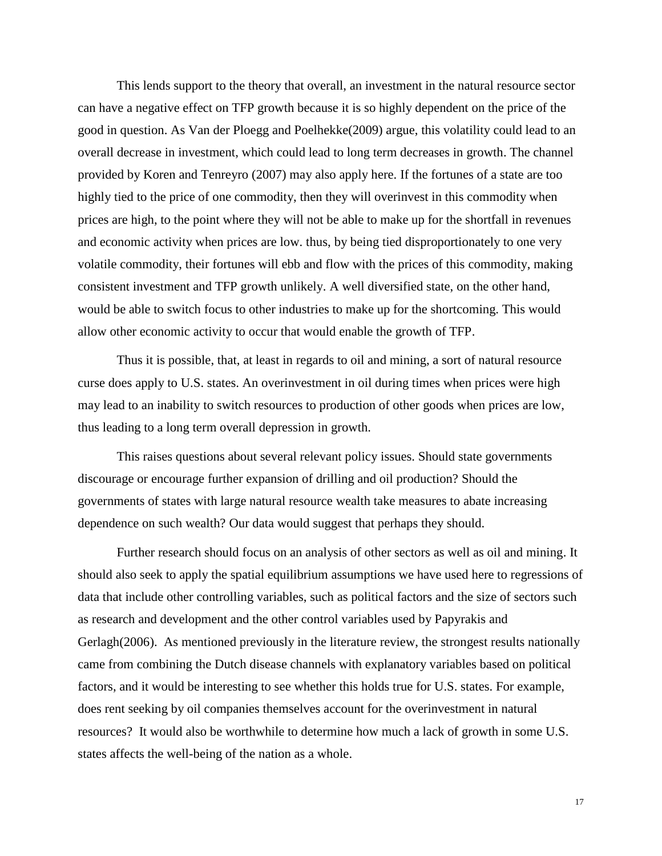This lends support to the theory that overall, an investment in the natural resource sector can have a negative effect on TFP growth because it is so highly dependent on the price of the good in question. As Van der Ploegg and Poelhekke(2009) argue, this volatility could lead to an overall decrease in investment, which could lead to long term decreases in growth. The channel provided by Koren and Tenreyro (2007) may also apply here. If the fortunes of a state are too highly tied to the price of one commodity, then they will overinvest in this commodity when prices are high, to the point where they will not be able to make up for the shortfall in revenues and economic activity when prices are low. thus, by being tied disproportionately to one very volatile commodity, their fortunes will ebb and flow with the prices of this commodity, making consistent investment and TFP growth unlikely. A well diversified state, on the other hand, would be able to switch focus to other industries to make up for the shortcoming. This would allow other economic activity to occur that would enable the growth of TFP.

Thus it is possible, that, at least in regards to oil and mining, a sort of natural resource curse does apply to U.S. states. An overinvestment in oil during times when prices were high may lead to an inability to switch resources to production of other goods when prices are low, thus leading to a long term overall depression in growth.

This raises questions about several relevant policy issues. Should state governments discourage or encourage further expansion of drilling and oil production? Should the governments of states with large natural resource wealth take measures to abate increasing dependence on such wealth? Our data would suggest that perhaps they should.

Further research should focus on an analysis of other sectors as well as oil and mining. It should also seek to apply the spatial equilibrium assumptions we have used here to regressions of data that include other controlling variables, such as political factors and the size of sectors such as research and development and the other control variables used by Papyrakis and Gerlagh(2006). As mentioned previously in the literature review, the strongest results nationally came from combining the Dutch disease channels with explanatory variables based on political factors, and it would be interesting to see whether this holds true for U.S. states. For example, does rent seeking by oil companies themselves account for the overinvestment in natural resources? It would also be worthwhile to determine how much a lack of growth in some U.S. states affects the well-being of the nation as a whole.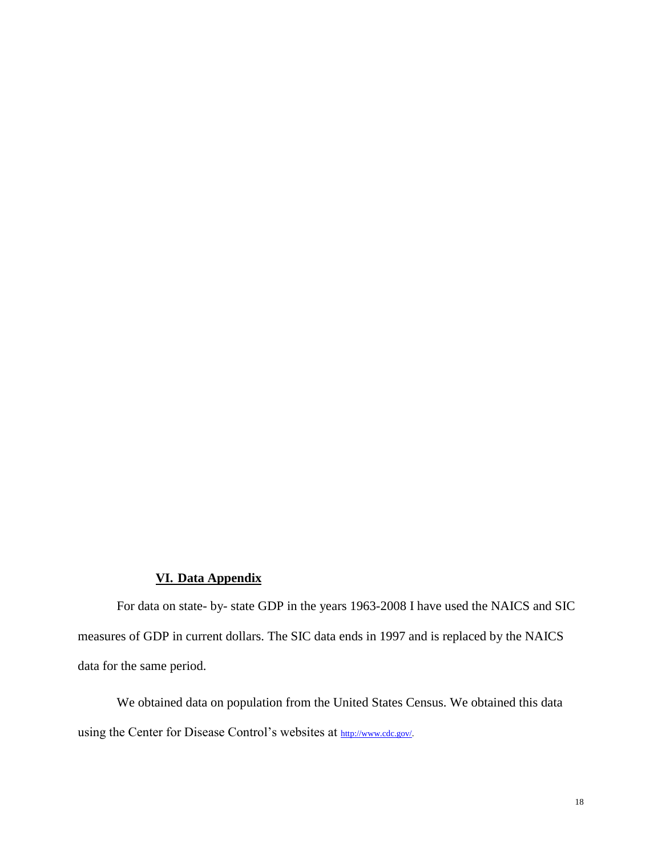### **VI. Data Appendix**

For data on state- by- state GDP in the years 1963-2008 I have used the NAICS and SIC measures of GDP in current dollars. The SIC data ends in 1997 and is replaced by the NAICS data for the same period.

We obtained data on population from the United States Census. We obtained this data using the Center for Disease Control's websites at [http://www.cdc.gov/.](http://www.cdc.gov/)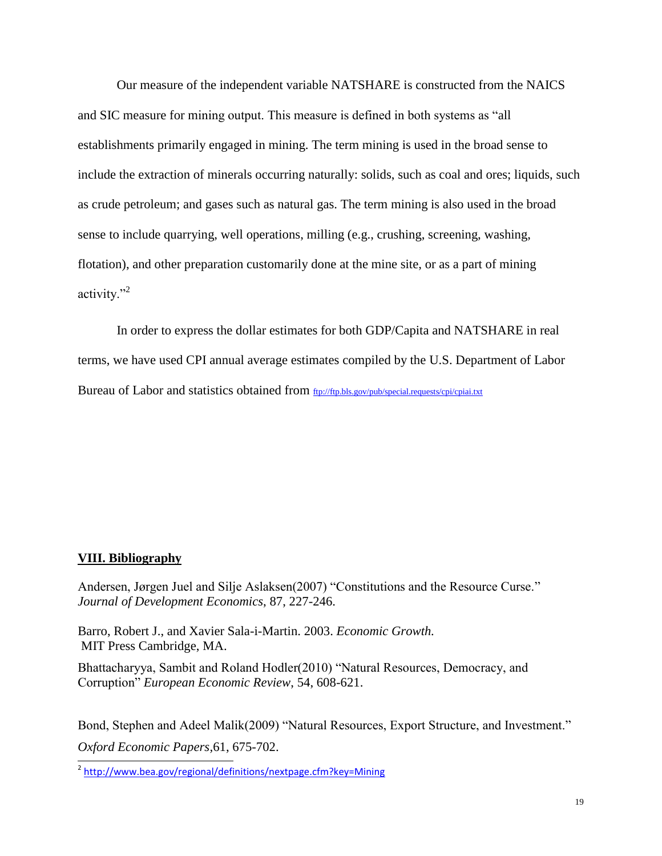Our measure of the independent variable NATSHARE is constructed from the NAICS and SIC measure for mining output. This measure is defined in both systems as "all establishments primarily engaged in mining. The term mining is used in the broad sense to include the extraction of minerals occurring naturally: solids, such as coal and ores; liquids, such as crude petroleum; and gases such as natural gas. The term mining is also used in the broad sense to include quarrying, well operations, milling (e.g., crushing, screening, washing, flotation), and other preparation customarily done at the mine site, or as a part of mining activity."<sup>2</sup>

In order to express the dollar estimates for both GDP/Capita and NATSHARE in real terms, we have used CPI annual average estimates compiled by the U.S. Department of Labor Bureau of Labor and statistics obtained from <ftp://ftp.bls.gov/pub/special.requests/cpi/cpiai.txt>

#### **VIII. Bibliography**

Andersen, Jørgen Juel and Silje Aslaksen(2007) "Constitutions and the Resource Curse." *Journal of Development Economics*, 87, 227-246.

Barro, Robert J., and Xavier Sala-i-Martin. 2003. *Economic Growth.* MIT Press Cambridge, MA.

Bhattacharyya, Sambit and Roland Hodler(2010) "Natural Resources, Democracy, and Corruption" *European Economic Review*, 54, 608-621.

Bond, Stephen and Adeel Malik(2009) "Natural Resources, Export Structure, and Investment." *Oxford Economic Papers,*61, 675-702.

 2 <http://www.bea.gov/regional/definitions/nextpage.cfm?key=Mining>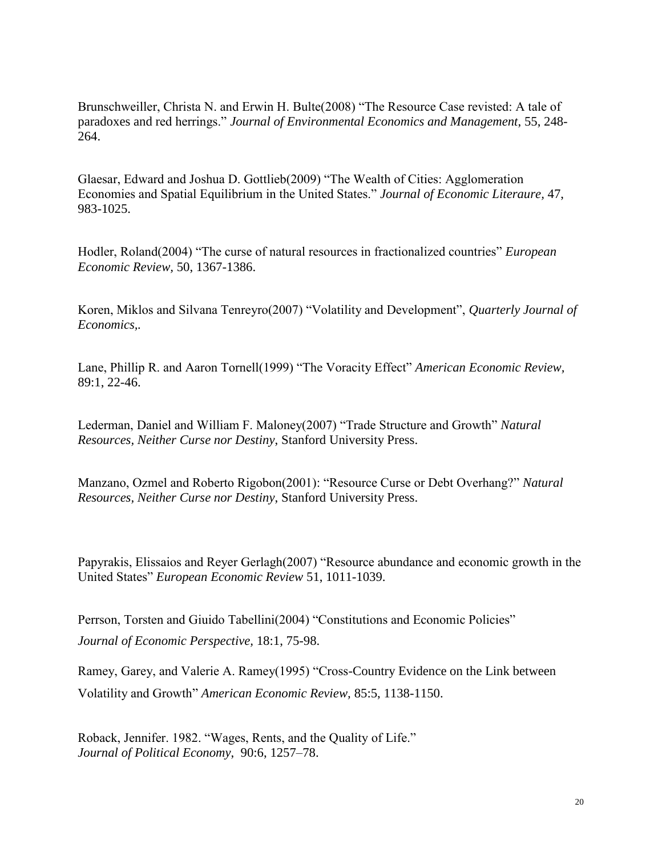Brunschweiller, Christa N. and Erwin H. Bulte(2008) "The Resource Case revisted: A tale of paradoxes and red herrings." *Journal of Environmental Economics and Management*, 55, 248- 264.

Glaesar, Edward and Joshua D. Gottlieb(2009) "The Wealth of Cities: Agglomeration Economies and Spatial Equilibrium in the United States." *Journal of Economic Literaure,* 47, 983-1025.

Hodler, Roland(2004) "The curse of natural resources in fractionalized countries" *European Economic Review,* 50, 1367-1386.

Koren, Miklos and Silvana Tenreyro(2007) "Volatility and Development", *Quarterly Journal of Economics,.*

Lane, Phillip R. and Aaron Tornell(1999) "The Voracity Effect" *American Economic Review,*  89:1, 22-46.

Lederman, Daniel and William F. Maloney(2007) "Trade Structure and Growth" *Natural Resources, Neither Curse nor Destiny*, Stanford University Press.

Manzano, Ozmel and Roberto Rigobon(2001): "Resource Curse or Debt Overhang?" *Natural Resources, Neither Curse nor Destiny*, Stanford University Press.

Papyrakis, Elissaios and Reyer Gerlagh(2007) "Resource abundance and economic growth in the United States" *European Economic Review* 51, 1011-1039.

Perrson, Torsten and Giuido Tabellini(2004) "Constitutions and Economic Policies" *Journal of Economic Perspective,* 18:1, 75-98.

Ramey, Garey, and Valerie A. Ramey(1995) "Cross-Country Evidence on the Link between Volatility and Growth" *American Economic Review,* 85:5, 1138-1150.

Roback, Jennifer. 1982. "Wages, Rents, and the Quality of Life." *Journal of Political Economy*, 90:6, 1257–78.